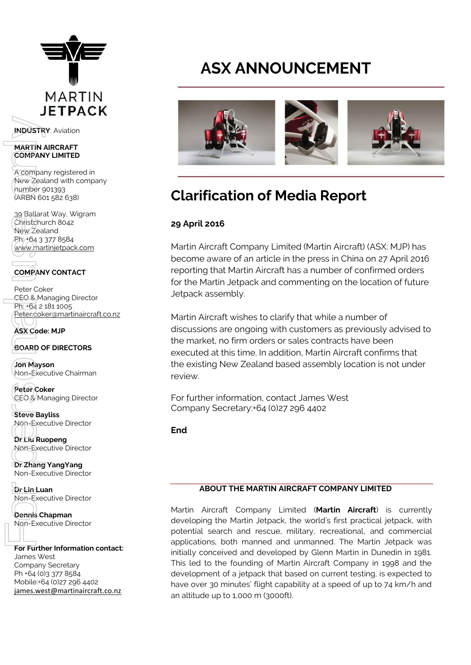

**INDUSTRY**: Aviation

#### **MARTIN AIRCRAFT COMPANY LIMITED**

A company registered in New Zealand with company number 901393 (ARBN 601 582 638)

39 Ballarat Way, Wigram Christchurch 8042 New Zealand Ph: +64 3 377 8584 [www.martinjetpack.com](http://www.martinjetpack.com/) **NDUSTRY:** Aviation<br>
MARTIN AIRCRAFT<br>
COMPANY LIMITED<br>
A compan[y](http://www.google.com.au/url?sa=i&rct=j&q=&esrc=s&frm=1&source=images&cd=&cad=rja&uact=8&docid=aKDxLWePo_Nc8M&tbnid=QS2NV3mJtBUA5M:&ved=0CAUQjRw&url=http://www.indigolyon.com/4/innovations/29/martin-jetpack/&ei=lnmqU9OrKdWfugSSmICgDQ&bvm=bv.69620078,d.dGI&psig=AFQjCNH2uw5oupCtcDP4OOk14eEdE8MNYQ&ust=1403767528894201) registered in<br>
New Zealand with company<br>
density and solar<br>
Sumpler golages<br>
Sumpler golages<br>
Sumpler and solar<br>
Phytolages.westwandline<br>
Phytolages.westwand

**COMPANY CONTACT**

Peter Coker CEO & Managing Director Ph: +64 2 181 1005 [Peter.coker@martinaircraft.co.nz](mailto:Peter.coker@martinaircraft.co.nz)

**ASX Code: MJP**

**BOARD OF DIRECTORS**

**Jon Mayson**  Non-Executive Chairman

**Peter Coker**  CEO & Managing Director

**Steve Bayliss** Non-Executive Director

**Dr Liu Ruopeng**  Non-Executive Director

**Dr Zhang YangYang**  Non-Executive Director

**Dr Lin Luan** Non-Executive Director

**Dennis Chapman** Non-Executive Director

### **For Further Information contact:**

James West Company Secretary Ph +64 (0)3 377 8584 Mobile:+64 (0)27 296 4402

# **ASX ANNOUNCEMENT**



## **Clarification of Media Report**

### **29 April 2016**

Martin Aircraft Company Limited (Martin Aircraft) (ASX: MJP) has become aware of an article in the press in China on 27 April 2016 reporting that Martin Aircraft has a number of confirmed orders for the Martin Jetpack and commenting on the location of future Jetpack assembly.

Martin Aircraft wishes to clarify that while a number of discussions are ongoing with customers as previously advised to the market, no firm orders or sales contracts have been executed at this time. In addition, Martin Aircraft confirms that the existing New Zealand based assembly location is not under review.

For further information, contact James West Company Secretary:+64 (0)27 296 4402

**End**

### **ABOUT THE MARTIN AIRCRAFT COMPANY LIMITED**

Martin Aircraft Company Limited (**Martin Aircraft**) is currently developing the Martin Jetpack, the world's first practical jetpack, with potential search and rescue, military, recreational, and commercial applications, both manned and unmanned. The Martin Jetpack was initially conceived and developed by Glenn Martin in Dunedin in 1981. This led to the founding of Martin Aircraft Company in 1998 and the development of a jetpack that based on current testing, is expected to have over 30 minutes' flight capability at a speed of up to 74 km/h and an altitude up to 1,000 m (3000ft).